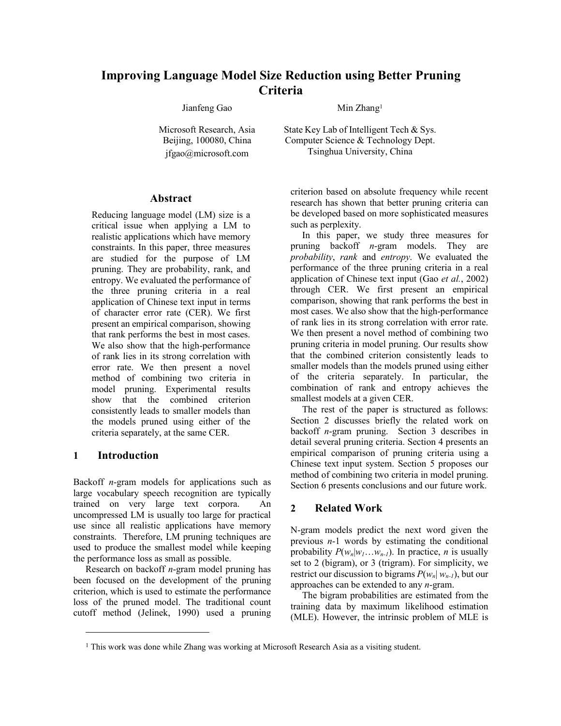# **Improving Language Model Size Reduction using Better Pruning Criteria**

Jianfeng Gao

Microsoft Research, Asia Beijing, 100080, China jfgao@microsoft.com

### **Abstract**

Reducing language model (LM) size is a critical issue when applying a LM to realistic applications which have memory constraints. In this paper, three measures are studied for the purpose of LM pruning. They are probability, rank, and entropy. We evaluated the performance of the three pruning criteria in a real application of Chinese text input in terms of character error rate (CER). We first present an empirical comparison, showing that rank performs the best in most cases. We also show that the high-performance of rank lies in its strong correlation with error rate. We then present a novel method of combining two criteria in model pruning. Experimental results show that the combined criterion consistently leads to smaller models than the models pruned using either of the criteria separately, at the same CER.

# **1 Introduction**

 $\overline{a}$ 

Backoff *n*-gram models for applications such as large vocabulary speech recognition are typically trained on very large text corpora. An uncompressed LM is usually too large for practical use since all realistic applications have memory constraints. Therefore, LM pruning techniques are used to produce the smallest model while keeping the performance loss as small as possible.

Research on backoff *n*-gram model pruning has been focused on the development of the pruning criterion, which is used to estimate the performance loss of the pruned model. The traditional count cutoff method (Jelinek, 1990) used a pruning Min Zhang1

State Key Lab of Intelligent Tech & Sys. Computer Science & Technology Dept. Tsinghua University, China

criterion based on absolute frequency while recent research has shown that better pruning criteria can be developed based on more sophisticated measures such as perplexity.

In this paper, we study three measures for pruning backoff *n*-gram models. They are *probability*, *rank* and *entropy*. We evaluated the performance of the three pruning criteria in a real application of Chinese text input (Gao *et al.*, 2002) through CER. We first present an empirical comparison, showing that rank performs the best in most cases. We also show that the high-performance of rank lies in its strong correlation with error rate. We then present a novel method of combining two pruning criteria in model pruning. Our results show that the combined criterion consistently leads to smaller models than the models pruned using either of the criteria separately. In particular, the combination of rank and entropy achieves the smallest models at a given CER.

The rest of the paper is structured as follows: Section 2 discusses briefly the related work on backoff *n*-gram pruning. Section 3 describes in detail several pruning criteria. Section 4 presents an empirical comparison of pruning criteria using a Chinese text input system. Section 5 proposes our method of combining two criteria in model pruning. Section 6 presents conclusions and our future work.

# **2 Related Work**

N-gram models predict the next word given the previous *n*-1 words by estimating the conditional probability  $P(w_n|w_1...w_{n-1})$ . In practice, *n* is usually set to 2 (bigram), or 3 (trigram). For simplicity, we restrict our discussion to bigrams  $P(w_n|w_{n-1})$ , but our approaches can be extended to any *n*-gram.

The bigram probabilities are estimated from the training data by maximum likelihood estimation (MLE). However, the intrinsic problem of MLE is

<sup>&</sup>lt;sup>1</sup> This work was done while Zhang was working at Microsoft Research Asia as a visiting student.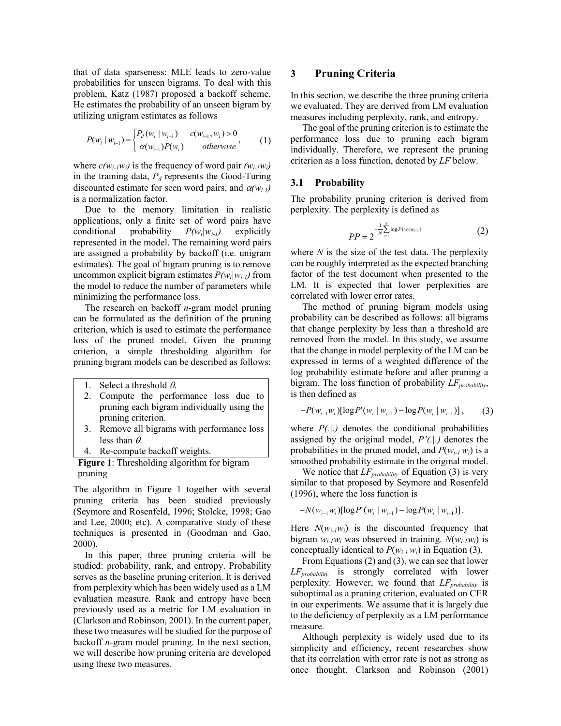that of data sparseness: MLE leads to zero-value probabilities for unseen bigrams. To deal with this problem, Katz (1987) proposed a backoff scheme. He estimates the probability of an unseen bigram by utilizing unigram estimates as follows

$$
P(w_i | w_{i-1}) = \begin{cases} P_d(w_i | w_{i-1}) & c(w_{i-1}, w_i) > 0 \\ \alpha(w_{i-1}) P(w_i) & otherwise \end{cases}
$$
 (1)

where  $c(w_{i-1}w_i)$  is the frequency of word pair  $(w_{i-1}w_i)$ in the training data,  $P_d$  represents the Good-Turing discounted estimate for seen word pairs, and  $\alpha(w_{i-1})$ is a normalization factor.

Due to the memory limitation in realistic applications, only a finite set of word pairs have conditional probability  $P(w_i|w_{i-1})$  explicitly represented in the model. The remaining word pairs are assigned a probability by backoff (i.e. unigram estimates). The goal of bigram pruning is to remove uncommon explicit bigram estimates  $P(w_i|w_{i-1})$  from the model to reduce the number of parameters while minimizing the performance loss.

The research on backoff *n*-gram model pruning can be formulated as the definition of the pruning criterion, which is used to estimate the performance loss of the pruned model. Given the pruning criterion, a simple thresholding algorithm for pruning bigram models can be described as follows:

- 1. Select a threshold  $\theta$ .
- 2. Compute the performance loss due to pruning each bigram individually using the pruning criterion.
- 3. Remove all bigrams with performance loss less than  $\theta$ .
- Re-compute backoff weights.

**Figure 1**: Thresholding algorithm for bigram pruning

The algorithm in Figure 1 together with several pruning criteria has been studied previously (Seymore and Rosenfeld, 1996; Stolcke, 1998; Gao and Lee, 2000; etc). A comparative study of these techniques is presented in (Goodman and Gao, 2000).

In this paper, three pruning criteria will be studied: probability, rank, and entropy. Probability serves as the baseline pruning criterion. It is derived from perplexity which has been widely used as a LM evaluation measure. Rank and entropy have been previously used as a metric for LM evaluation in (Clarkson and Robinson, 2001). In the current paper, these two measures will be studied for the purpose of backoff *n*-gram model pruning. In the next section, we will describe how pruning criteria are developed using these two measures.

## **3 Pruning Criteria**

In this section, we describe the three pruning criteria we evaluated. They are derived from LM evaluation measures including perplexity, rank, and entropy.

The goal of the pruning criterion is to estimate the performance loss due to pruning each bigram individually. Therefore, we represent the pruning criterion as a loss function, denoted by *LF* below.

## **3.1 Probability**

The probability pruning criterion is derived from perplexity. The perplexity is defined as

$$
PP = 2^{-\frac{1}{N} \sum_{i=1}^{N} \log P(w_i | w_{i-1})}
$$
 (2)

where  $N$  is the size of the test data. The perplexity can be roughly interpreted as the expected branching factor of the test document when presented to the LM. It is expected that lower perplexities are correlated with lower error rates.

The method of pruning bigram models using probability can be described as follows: all bigrams that change perplexity by less than a threshold are removed from the model. In this study, we assume that the change in model perplexity of the LM can be expressed in terms of a weighted difference of the log probability estimate before and after pruning a bigram. The loss function of probability *LF*<sub>probability</sub>, is then defined as

$$
-P(w_{i-1}w_i)[\log P'(w_i \mid w_{i-1}) - \log P(w_i \mid w_{i-1})], \qquad (3)
$$

where  $P(.|.)$  denotes the conditional probabilities assigned by the original model, *P'(.|.)* denotes the probabilities in the pruned model, and  $P(w_{i,l}, w_i)$  is a smoothed probability estimate in the original model.

We notice that  $LF_{probability}$  of Equation (3) is very similar to that proposed by Seymore and Rosenfeld (1996), where the loss function is

$$
-N(w_{i-1}w_i)[\log P'(w_i | w_{i-1}) - \log P(w_i | w_{i-1})].
$$

Here  $N(w_i, jw_i)$  is the discounted frequency that bigram  $w_{i-1}w_i$  was observed in training.  $N(w_{i-1}w_i)$  is conceptually identical to  $P(w_{i-1}, w_i)$  in Equation (3).

From Equations (2) and (3), we can see that lower *LFprobability* is strongly correlated with lower perplexity. However, we found that  $LF_{probability}$  is suboptimal as a pruning criterion, evaluated on CER in our experiments. We assume that it is largely due to the deficiency of perplexity as a LM performance measure.

Although perplexity is widely used due to its simplicity and efficiency, recent researches show that its correlation with error rate is not as strong as once thought. Clarkson and Robinson (2001)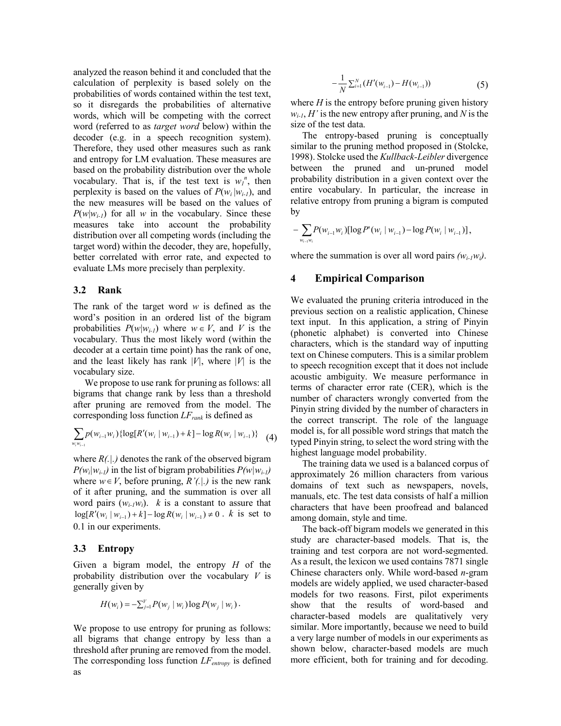analyzed the reason behind it and concluded that the calculation of perplexity is based solely on the probabilities of words contained within the test text, so it disregards the probabilities of alternative words, which will be competing with the correct word (referred to as *target word* below) within the decoder (e.g. in a speech recognition system). Therefore, they used other measures such as rank and entropy for LM evaluation. These measures are based on the probability distribution over the whole vocabulary. That is, if the test text is  $w_l^n$ , then perplexity is based on the values of  $P(w_i|w_{i-1})$ , and the new measures will be based on the values of  $P(w|w_{i-1})$  for all *w* in the vocabulary. Since these measures take into account the probability distribution over all competing words (including the target word) within the decoder, they are, hopefully, better correlated with error rate, and expected to evaluate LMs more precisely than perplexity.

### **3.2 Rank**

The rank of the target word *w* is defined as the word's position in an ordered list of the bigram probabilities  $P(w|w_{i-1})$  where  $w \in V$ , and V is the vocabulary. Thus the most likely word (within the decoder at a certain time point) has the rank of one, and the least likely has rank  $|V|$ , where  $|V|$  is the vocabulary size.

We propose to use rank for pruning as follows: all bigrams that change rank by less than a threshold after pruning are removed from the model. The corresponding loss function  $LF_{rank}$  is defined as

$$
\sum_{w_i w_{i-1}} p(w_{i-1} w_i) \{ \log[R'(w_i | w_{i-1}) + k] - \log R(w_i | w_{i-1}) \} \tag{4}
$$

where  $R(.)$  denotes the rank of the observed bigram  $P(w_i|w_{i-1})$  in the list of bigram probabilities  $P(w|w_{i-1})$ where  $w \in V$ , before pruning,  $R'(.)$  is the new rank of it after pruning, and the summation is over all word pairs  $(w_{i-1}w_i)$ . *k* is a constant to assure that log[ $R'(w_i | w_{i-1}) + k$ ] − log  $R(w_i | w_{i-1}) \neq 0$ . *k* is set to 0.1 in our experiments.

### **3.3 Entropy**

Given a bigram model, the entropy *H* of the probability distribution over the vocabulary *V* is generally given by

$$
H(w_i) = -\sum_{j=1}^{V} P(w_j | w_i) \log P(w_j | w_i).
$$

We propose to use entropy for pruning as follows: all bigrams that change entropy by less than a threshold after pruning are removed from the model. The corresponding loss function  $LF_{entropy}$  is defined as

$$
-\frac{1}{N}\sum_{i=1}^{N}(H'(w_{i-1}) - H(w_{i-1}))\tag{5}
$$

where  $H$  is the entropy before pruning given history  $w_{i-1}$ , *H'* is the new entropy after pruning, and *N* is the size of the test data.

The entropy-based pruning is conceptually similar to the pruning method proposed in (Stolcke, 1998). Stolcke used the *Kullback-Leibler* divergence between the pruned and un-pruned model probability distribution in a given context over the entire vocabulary. In particular, the increase in relative entropy from pruning a bigram is computed by

$$
-\sum_{w_{i-1}w_i} P(w_{i-1}w_i) [\log P'(w_i \mid w_{i-1}) - \log P(w_i \mid w_{i-1})],
$$

where the summation is over all word pairs  $(w_{i-1}w_i)$ .

### **4 Empirical Comparison**

We evaluated the pruning criteria introduced in the previous section on a realistic application, Chinese text input. In this application, a string of Pinyin (phonetic alphabet) is converted into Chinese characters, which is the standard way of inputting text on Chinese computers. This is a similar problem to speech recognition except that it does not include acoustic ambiguity. We measure performance in terms of character error rate (CER), which is the number of characters wrongly converted from the Pinyin string divided by the number of characters in the correct transcript. The role of the language model is, for all possible word strings that match the typed Pinyin string, to select the word string with the highest language model probability.

The training data we used is a balanced corpus of approximately 26 million characters from various domains of text such as newspapers, novels, manuals, etc. The test data consists of half a million characters that have been proofread and balanced among domain, style and time.

The back-off bigram models we generated in this study are character-based models. That is, the training and test corpora are not word-segmented. As a result, the lexicon we used contains 7871 single Chinese characters only. While word-based *n*-gram models are widely applied, we used character-based models for two reasons. First, pilot experiments show that the results of word-based and character-based models are qualitatively very similar. More importantly, because we need to build a very large number of models in our experiments as shown below, character-based models are much more efficient, both for training and for decoding.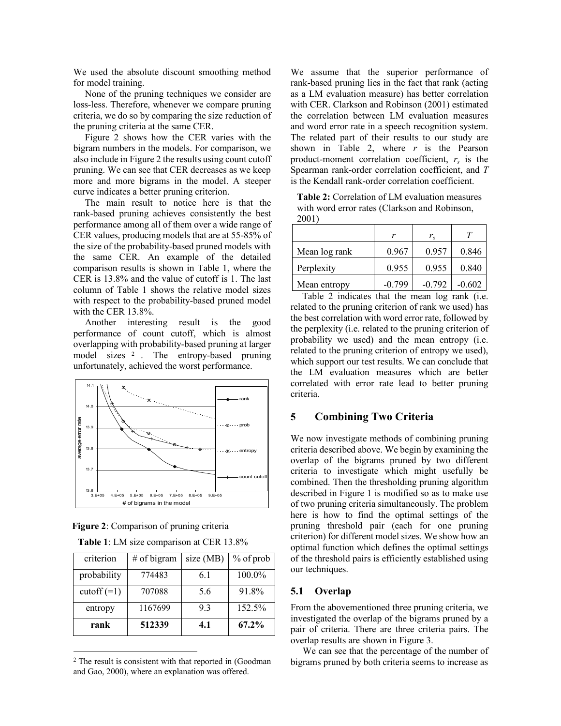We used the absolute discount smoothing method for model training.

None of the pruning techniques we consider are loss-less. Therefore, whenever we compare pruning criteria, we do so by comparing the size reduction of the pruning criteria at the same CER.

Figure 2 shows how the CER varies with the bigram numbers in the models. For comparison, we also include in Figure 2 the results using count cutoff pruning. We can see that CER decreases as we keep more and more bigrams in the model. A steeper curve indicates a better pruning criterion.

The main result to notice here is that the rank-based pruning achieves consistently the best performance among all of them over a wide range of CER values, producing models that are at 55-85% of the size of the probability-based pruned models with the same CER. An example of the detailed comparison results is shown in Table 1, where the CER is 13.8% and the value of cutoff is 1. The last column of Table 1 shows the relative model sizes with respect to the probability-based pruned model with the CER 13.8%.

Another interesting result is the good performance of count cutoff, which is almost overlapping with probability-based pruning at larger model sizes <sup>2</sup> . The entropy-based pruning unfortunately, achieved the worst performance.



**Figure 2**: Comparison of pruning criteria

|  |  | <b>Table 1:</b> LM size comparison at CER 13.8% |  |  |
|--|--|-------------------------------------------------|--|--|
|  |  |                                                 |  |  |

| criterion     | $#$ of bigram | size (MB) | $%$ of prob |
|---------------|---------------|-----------|-------------|
| probability   | 774483        | 6.1       | 100.0%      |
| $\cot(f(-1))$ | 707088        | 5.6       | 91.8%       |
| entropy       | 1167699       | 93        | 152.5%      |
| rank          | 512339        | 4.1       | 67.2%       |

<sup>2</sup> The result is consistent with that reported in (Goodman and Gao, 2000), where an explanation was offered.

l

We assume that the superior performance of rank-based pruning lies in the fact that rank (acting as a LM evaluation measure) has better correlation with CER. Clarkson and Robinson (2001) estimated the correlation between LM evaluation measures and word error rate in a speech recognition system. The related part of their results to our study are shown in Table 2, where  $r$  is the Pearson product-moment correlation coefficient,  $r<sub>s</sub>$  is the Spearman rank-order correlation coefficient, and *T* is the Kendall rank-order correlation coefficient.

**Table 2:** Correlation of LM evaluation measures with word error rates (Clarkson and Robinson, 2001)

|               | v        | $r_{\rm s}$ | Т        |
|---------------|----------|-------------|----------|
| Mean log rank | 0.967    | 0.957       | 0.846    |
| Perplexity    | 0.955    | 0.955       | 0.840    |
| Mean entropy  | $-0.799$ | $-0.792$    | $-0.602$ |

Table 2 indicates that the mean log rank (i.e. related to the pruning criterion of rank we used) has the best correlation with word error rate, followed by the perplexity (i.e. related to the pruning criterion of probability we used) and the mean entropy (i.e. related to the pruning criterion of entropy we used), which support our test results. We can conclude that the LM evaluation measures which are better correlated with error rate lead to better pruning criteria.

## **5 Combining Two Criteria**

We now investigate methods of combining pruning criteria described above. We begin by examining the overlap of the bigrams pruned by two different criteria to investigate which might usefully be combined. Then the thresholding pruning algorithm described in Figure 1 is modified so as to make use of two pruning criteria simultaneously. The problem here is how to find the optimal settings of the pruning threshold pair (each for one pruning criterion) for different model sizes. We show how an optimal function which defines the optimal settings of the threshold pairs is efficiently established using our techniques.

## **5.1 Overlap**

From the abovementioned three pruning criteria, we investigated the overlap of the bigrams pruned by a pair of criteria. There are three criteria pairs. The overlap results are shown in Figure 3.

We can see that the percentage of the number of bigrams pruned by both criteria seems to increase as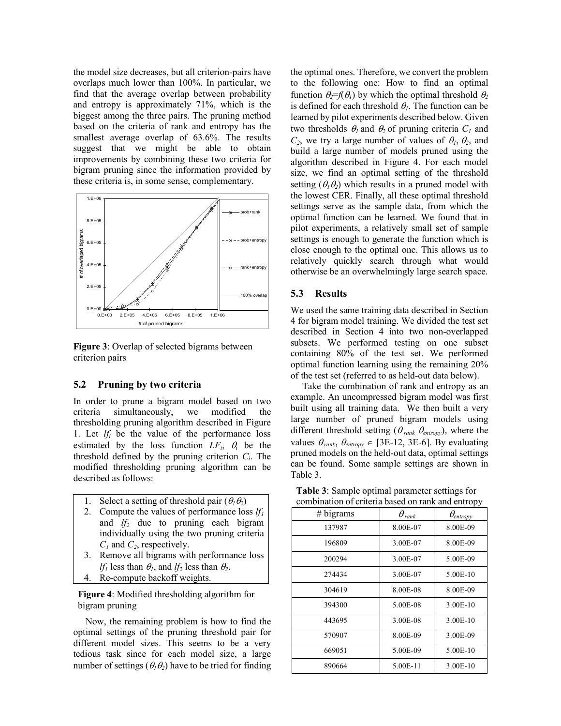the model size decreases, but all criterion-pairs have overlaps much lower than 100%. In particular, we find that the average overlap between probability and entropy is approximately 71%, which is the biggest among the three pairs. The pruning method based on the criteria of rank and entropy has the smallest average overlap of 63.6%. The results suggest that we might be able to obtain improvements by combining these two criteria for bigram pruning since the information provided by these criteria is, in some sense, complementary.



**Figure 3**: Overlap of selected bigrams between criterion pairs

## **5.2 Pruning by two criteria**

In order to prune a bigram model based on two criteria simultaneously, we modified the thresholding pruning algorithm described in Figure 1. Let  $lf_i$  be the value of the performance loss estimated by the loss function *LFi*, θ*i* be the threshold defined by the pruning criterion  $C_i$ . The modified thresholding pruning algorithm can be described as follows:

- 1. Select a setting of threshold pair  $(\theta_1 \theta_2)$
- 2. Compute the values of performance loss  $lf_1$ and *lf2* due to pruning each bigram individually using the two pruning criteria *C1* and *C2*, respectively.
- 3. Remove all bigrams with performance loss *lf<sub>1</sub>* less than  $\theta_1$ , and *lf<sub>2</sub>* less than  $\theta_2$ .
- 4. Re-compute backoff weights.

## **Figure 4**: Modified thresholding algorithm for bigram pruning

Now, the remaining problem is how to find the optimal settings of the pruning threshold pair for different model sizes. This seems to be a very tedious task since for each model size, a large number of settings ( $\theta_1 \theta_2$ ) have to be tried for finding

the optimal ones. Therefore, we convert the problem to the following one: How to find an optimal function  $\theta_2 = f(\theta_1)$  by which the optimal threshold  $\theta_2$ is defined for each threshold  $\theta_l$ . The function can be learned by pilot experiments described below. Given two thresholds  $\theta_1$  and  $\theta_2$  of pruning criteria  $C_1$  and  $C_2$ , we try a large number of values of  $\theta_1$ ,  $\theta_2$ , and build a large number of models pruned using the algorithm described in Figure 4. For each model size, we find an optimal setting of the threshold setting  $(\theta_1 \theta_2)$  which results in a pruned model with the lowest CER. Finally, all these optimal threshold settings serve as the sample data, from which the optimal function can be learned. We found that in pilot experiments, a relatively small set of sample settings is enough to generate the function which is close enough to the optimal one. This allows us to relatively quickly search through what would otherwise be an overwhelmingly large search space.

## **5.3 Results**

We used the same training data described in Section 4 for bigram model training. We divided the test set described in Section 4 into two non-overlapped subsets. We performed testing on one subset containing 80% of the test set. We performed optimal function learning using the remaining 20% of the test set (referred to as held-out data below).

Take the combination of rank and entropy as an example. An uncompressed bigram model was first built using all training data. We then built a very large number of pruned bigram models using different threshold setting ( $\theta_{\text{rank}}$   $\theta_{\text{entropy}}$ ), where the values  $\theta_{\text{rank}}, \theta_{\text{entropy}} \in [3E-12, 3E-6]$ . By evaluating pruned models on the held-out data, optimal settings can be found. Some sample settings are shown in Table 3.

| comomation of criteria based on rain, and childpy |                        |                    |  |  |
|---------------------------------------------------|------------------------|--------------------|--|--|
| # bigrams                                         | $\theta_{\text{rank}}$ | $\theta_{entropy}$ |  |  |
| 137987                                            | 8.00E-07               | 8.00E-09           |  |  |
| 196809                                            | 3.00E-07               | 8.00E-09           |  |  |
| 200294                                            | 3.00E-07               | 5.00E-09           |  |  |
| 274434                                            | 3.00E-07               | 5.00E-10           |  |  |
| 304619                                            | 8.00E-08               | 8.00E-09           |  |  |
| 394300                                            | 5.00E-08               | 3.00E-10           |  |  |
| 443695                                            | 3.00E-08               | 3.00E-10           |  |  |
| 570907                                            | 8.00E-09               | 3.00E-09           |  |  |
| 669051                                            | 5.00E-09               | 5.00E-10           |  |  |
| 890664                                            | 5.00E-11               | 3.00E-10           |  |  |
|                                                   |                        |                    |  |  |

**Table 3**: Sample optimal parameter settings for combination of criteria based on rank and entropy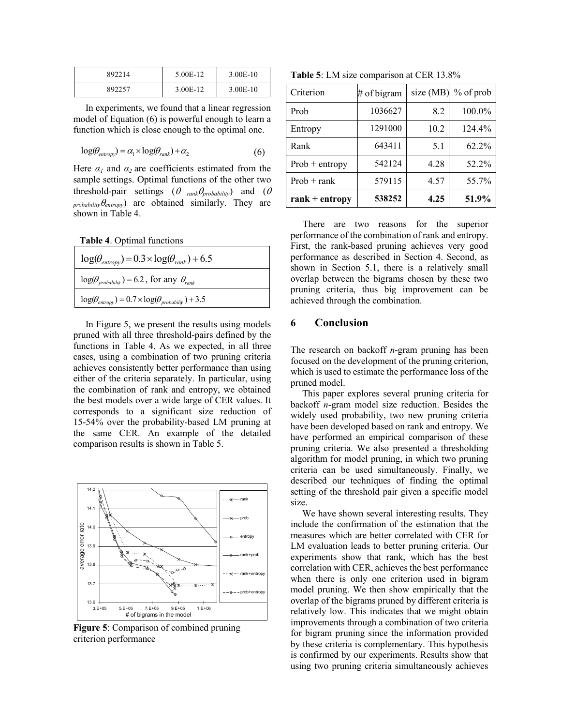| 892214 | 5.00E-12 | 3.00E-10 |
|--------|----------|----------|
| 892257 | 3.00E-12 | 3.00E-10 |

In experiments, we found that a linear regression model of Equation (6) is powerful enough to learn a function which is close enough to the optimal one.

$$
\log(\theta_{entropy}) = \alpha_1 \times \log(\theta_{rank}) + \alpha_2 \tag{6}
$$

Here  $\alpha_1$  and  $\alpha_2$  are coefficients estimated from the sample settings. Optimal functions of the other two threshold-pair settings (<sup>θ</sup> *rank*θ*probability*) and (<sup>θ</sup>  $\rho_{\text{probability}} \theta_{\text{entropy}}$  are obtained similarly. They are shown in Table 4.

**Table 4**. Optimal functions

| $log(\theta_{entropy}) = 0.3 \times log(\theta_{rank}) + 6.5$        |
|----------------------------------------------------------------------|
| $log(\theta_{probability}) = 6.2$ , for any $\theta_{rank}$          |
| $log(\theta_{entropy}) = 0.7 \times log(\theta_{probability}) + 3.5$ |

In Figure 5, we present the results using models pruned with all three threshold-pairs defined by the functions in Table 4. As we expected, in all three cases, using a combination of two pruning criteria achieves consistently better performance than using either of the criteria separately. In particular, using the combination of rank and entropy, we obtained the best models over a wide large of CER values. It corresponds to a significant size reduction of 15-54% over the probability-based LM pruning at the same CER. An example of the detailed comparison results is shown in Table 5.



**Figure 5**: Comparison of combined pruning criterion performance

**Table 5**: LM size comparison at CER 13.8%

| Criterion        | # of bigram | size (MB) | $%$ of prob |
|------------------|-------------|-----------|-------------|
| Prob             | 1036627     | 8.2       | 100.0%      |
| Entropy          | 1291000     | 10.2      | 124.4%      |
| Rank             | 643411      | 5.1       | 62.2%       |
| $Prob + entropy$ | 542124      | 4.28      | 52.2%       |
| $Prob + rank$    | 579115      | 4.57      | 55.7%       |
| $rank + entropy$ | 538252      | 4.25      | 51.9%       |

There are two reasons for the superior performance of the combination of rank and entropy. First, the rank-based pruning achieves very good performance as described in Section 4. Second, as shown in Section 5.1, there is a relatively small overlap between the bigrams chosen by these two pruning criteria, thus big improvement can be achieved through the combination.

# **6 Conclusion**

The research on backoff *n*-gram pruning has been focused on the development of the pruning criterion, which is used to estimate the performance loss of the pruned model.

This paper explores several pruning criteria for backoff *n*-gram model size reduction. Besides the widely used probability, two new pruning criteria have been developed based on rank and entropy. We have performed an empirical comparison of these pruning criteria. We also presented a thresholding algorithm for model pruning, in which two pruning criteria can be used simultaneously. Finally, we described our techniques of finding the optimal setting of the threshold pair given a specific model size.

We have shown several interesting results. They include the confirmation of the estimation that the measures which are better correlated with CER for LM evaluation leads to better pruning criteria. Our experiments show that rank, which has the best correlation with CER, achieves the best performance when there is only one criterion used in bigram model pruning. We then show empirically that the overlap of the bigrams pruned by different criteria is relatively low. This indicates that we might obtain improvements through a combination of two criteria for bigram pruning since the information provided by these criteria is complementary. This hypothesis is confirmed by our experiments. Results show that using two pruning criteria simultaneously achieves